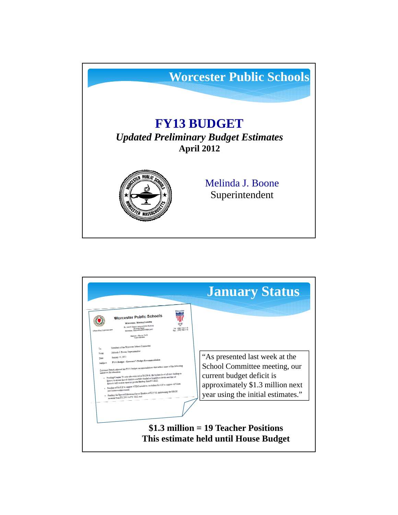

|                                                                                                                                                                                                                                                                                                                                                                                                                                                                                                                                                                                                                                                                                                                                                                                                                                                                                                                                                                                                                                                                                                                                                      | <b>January Status</b>                                                                                                                                                  |
|------------------------------------------------------------------------------------------------------------------------------------------------------------------------------------------------------------------------------------------------------------------------------------------------------------------------------------------------------------------------------------------------------------------------------------------------------------------------------------------------------------------------------------------------------------------------------------------------------------------------------------------------------------------------------------------------------------------------------------------------------------------------------------------------------------------------------------------------------------------------------------------------------------------------------------------------------------------------------------------------------------------------------------------------------------------------------------------------------------------------------------------------------|------------------------------------------------------------------------------------------------------------------------------------------------------------------------|
| Abunce 404<br>Worcester Public Schools<br>Worcester, Massachusetts<br>Dr. John E. Durkin Administration Building<br>20 Iverg Street<br>Williams Massachusetts 01800-1463<br>Tel: (508) 799-9116<br>Office of the Superintendent<br>Metrica J. Boone, FA D.<br><b>Constitution Part</b><br>Members of the Worcester School Committee<br>To:<br>Melinda J. Bosna, Superintendent<br>System:<br>January 25, 2012.<br>Date:<br>FV13 Budget - Governor's Budget Recommendation<br>Sublach<br>Governor Patrick released his FY13 budget recommendations that reflect some of the following<br>initiatives for obscation:<br>$\bullet$ . Funding Chapter 70 state education and at 54.136 B, the highest level of state funding in<br>history to ensure that all districts are fully funded at foundation levels and that all<br>districts will receive equal or greater funding than FV 2012;<br>Funding of \$3.9 M to support STEM initiatives, including \$2.4 M to support AP Math<br>and Science achievement.<br>$\bullet$ . Funding the Special Education Circuit Brether at \$213 M, maintaining the \$50 M<br>increase from FY 2011 to FY 2012; and | "As presented last week at the<br>School Committee meeting, our<br>current budget deficit is<br>approximately \$1.3 million next<br>year using the initial estimates." |
|                                                                                                                                                                                                                                                                                                                                                                                                                                                                                                                                                                                                                                                                                                                                                                                                                                                                                                                                                                                                                                                                                                                                                      | $$1.3$ million = 19 Teacher Positions<br>This estimate held until House Budget                                                                                         |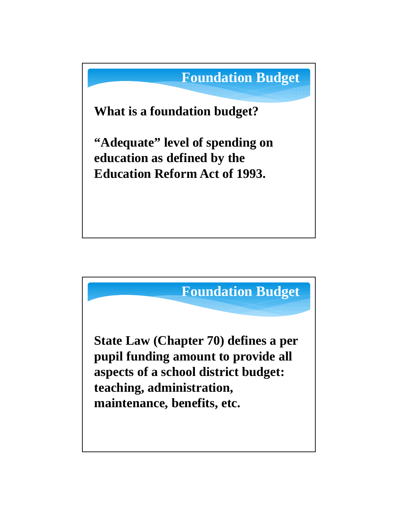

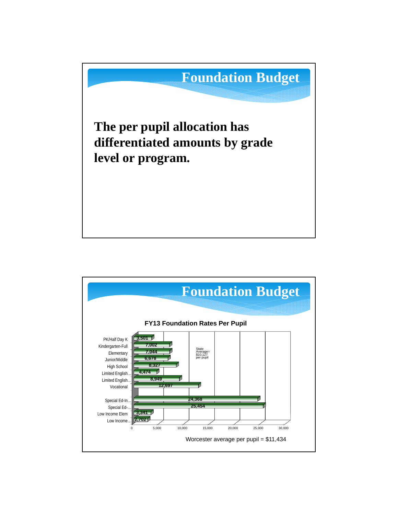

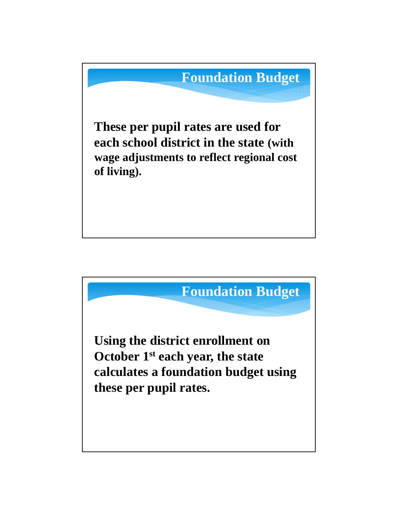

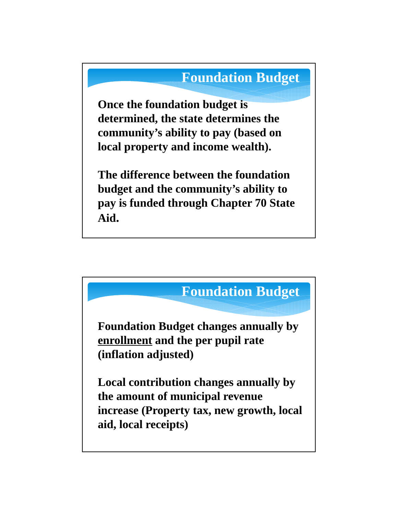## **Foundation Budget**

**Once the foundation budget is determined, the state determines the community's ability to pay (based on local property and income wealth).** 

**The difference between the foundation budget and the community's ability to pay is funded through Chapter 70 State Aid.**

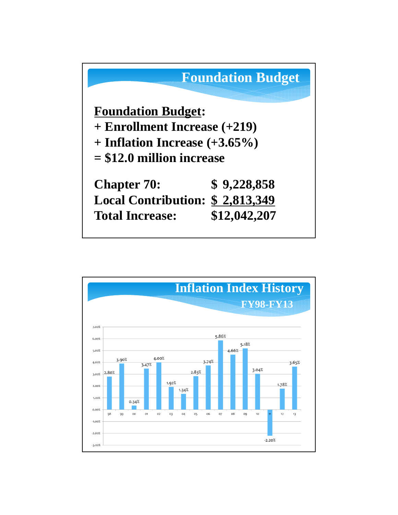

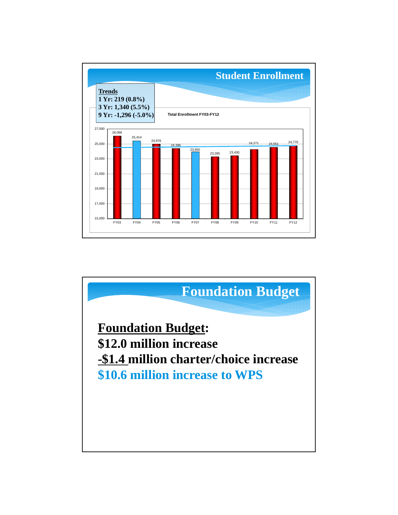

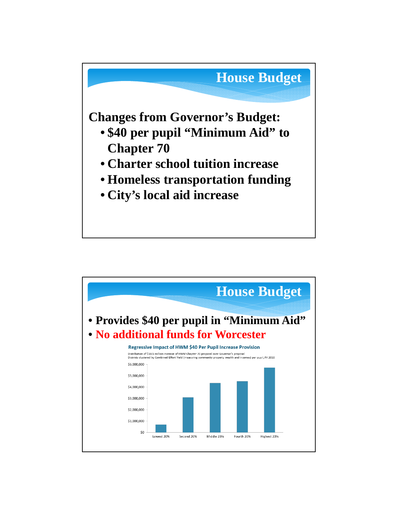

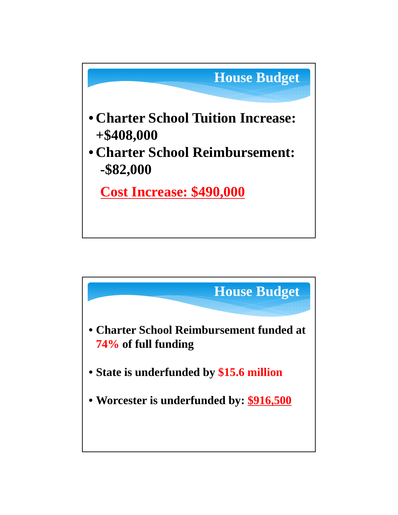

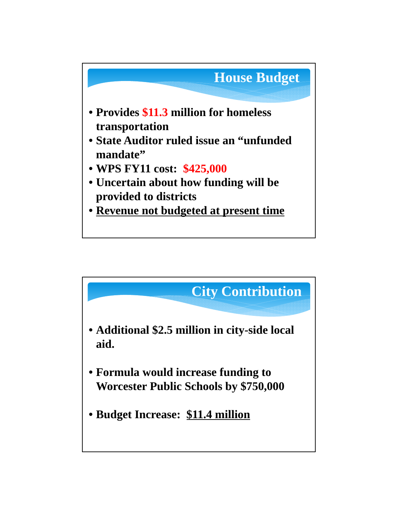

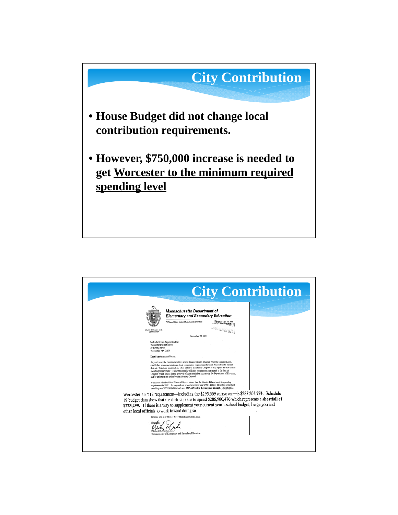

|                                                                                                                                                     | <b>City Contribution</b>                                                                                                                                                                                                                                                                                                                                                                                                                                                                                                                                                                                                                                                                                                                                                                                                                                                                                                                                                                                                                                                                                                                                                                                                                  |
|-----------------------------------------------------------------------------------------------------------------------------------------------------|-------------------------------------------------------------------------------------------------------------------------------------------------------------------------------------------------------------------------------------------------------------------------------------------------------------------------------------------------------------------------------------------------------------------------------------------------------------------------------------------------------------------------------------------------------------------------------------------------------------------------------------------------------------------------------------------------------------------------------------------------------------------------------------------------------------------------------------------------------------------------------------------------------------------------------------------------------------------------------------------------------------------------------------------------------------------------------------------------------------------------------------------------------------------------------------------------------------------------------------------|
|                                                                                                                                                     | <b>Massachusetts Department of</b><br><b>Elementary and Secondary Education</b><br>75 Pleasant Street, Makler, Massachusetts 02148-4906                                                                                                                                                                                                                                                                                                                                                                                                                                                                                                                                                                                                                                                                                                                                                                                                                                                                                                                                                                                                                                                                                                   |
| Mitchell D. Chester, Ed.D.<br><b><i><u>Commission in the</u></i></b>                                                                                | November 29, 2011                                                                                                                                                                                                                                                                                                                                                                                                                                                                                                                                                                                                                                                                                                                                                                                                                                                                                                                                                                                                                                                                                                                                                                                                                         |
| Worcester Public Schools<br>20 Erving Street<br>Worcester, MA 01609<br>Dear Superintendent Boone:<br>other local officials to work toward doing so. | Melinda Boone, Superintendent<br>As you know, the Commonwealth's school finance statute, Chapter 70 of the General Laws,<br>establishes an annual minimum local contribution requirement for each Massachusetts school<br>district. This local contribution, when added to a district's Chapter 70 aid, equals its "net school<br>spending requirement." Failure to comply with this requirement may result in the loss of<br>Chapter 70 aid, delays in the approval of your municipal tax rate by the Department of Revenue,<br>and/or enforcement action by the Attorney General.<br>Worcester's End-of-Year Financial Report shows that the district did not meet its spending<br>requirement in FY11. Its required net school spending was \$272,144,069. Reported net school<br>spending was \$271,848,400 which was \$295,669 below the required amount. This shortfall<br>Worcester's FY12 requirement-including the \$295,669 carryover-is \$287,203,774. Schedule<br>19 budget data show that the district plans to spend \$286,980,476 which represents a shortfall of<br>\$223,299. If there is a way to supplement your current year's school budget, I urge you and<br>Finance unit at (781) 338-6527 (rhatch@doc.mass.edu). |
|                                                                                                                                                     | Commissioner of Elementary and Secondary Education                                                                                                                                                                                                                                                                                                                                                                                                                                                                                                                                                                                                                                                                                                                                                                                                                                                                                                                                                                                                                                                                                                                                                                                        |
|                                                                                                                                                     |                                                                                                                                                                                                                                                                                                                                                                                                                                                                                                                                                                                                                                                                                                                                                                                                                                                                                                                                                                                                                                                                                                                                                                                                                                           |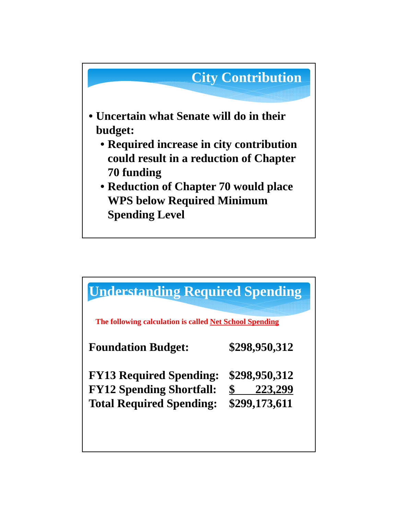

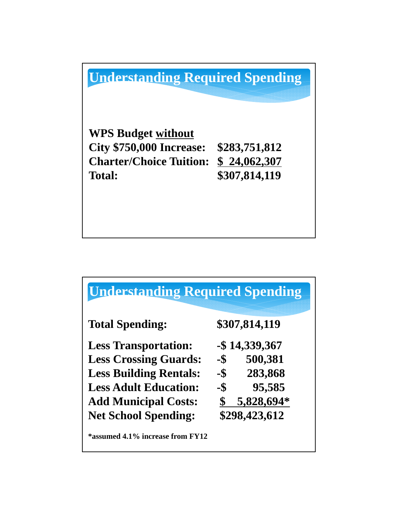**Understanding Required Spending**

**WPS Budget without City \$750,000 Increase: \$283,751,812 Charter/Choice Tuition: \$ 24,062,307 Total: \$307,814,119**

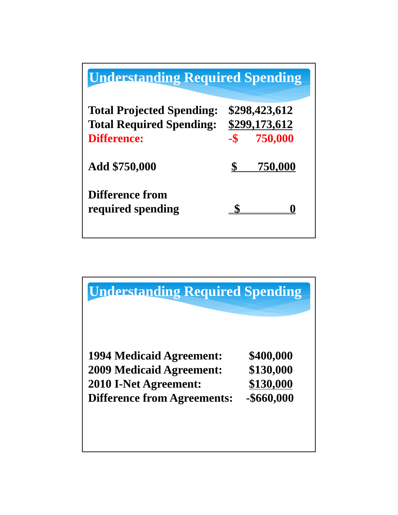| <b>Understanding Required Spending</b>                                                    |                                                   |
|-------------------------------------------------------------------------------------------|---------------------------------------------------|
| <b>Total Projected Spending:</b><br><b>Total Required Spending:</b><br><b>Difference:</b> | \$298,423,612<br>\$299,173,612<br>750,000<br>$-S$ |
| Add \$750,000                                                                             | 750,000                                           |
| Difference from<br>required spending                                                      |                                                   |

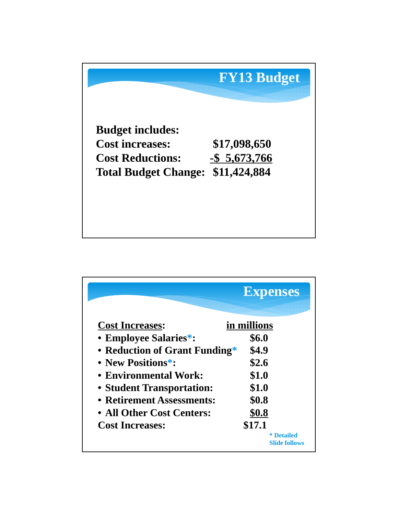

|                               | <b>Expenses</b>                           |
|-------------------------------|-------------------------------------------|
| <b>Cost Increases:</b>        | in millions                               |
| • Employee Salaries*:         | \$6.0                                     |
| • Reduction of Grant Funding* | \$4.9                                     |
| • New Positions*:             | \$2.6                                     |
| • Environmental Work:         | \$1.0                                     |
| • Student Transportation:     | \$1.0                                     |
| • Retirement Assessments:     | \$0.8                                     |
| • All Other Cost Centers:     | \$0.8                                     |
| <b>Cost Increases:</b>        | \$17.1                                    |
|                               | <b>*</b> Detailed<br><b>Slide follows</b> |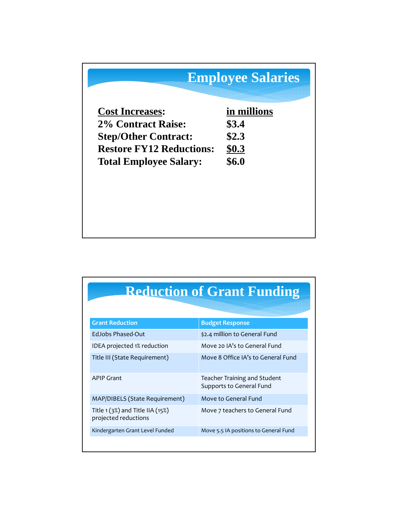## **Employee Salaries**

| <b>Cost Increases:</b>          | in millions |
|---------------------------------|-------------|
| <b>2% Contract Raise:</b>       | \$3.4       |
| <b>Step/Other Contract:</b>     | \$2.3       |
| <b>Restore FY12 Reductions:</b> | \$0.3\$     |
| <b>Total Employee Salary:</b>   | \$6.0       |

## **Reduction of Grant Funding**

| <b>Grant Reduction</b>                                      | <b>Budget Response</b>                                   |
|-------------------------------------------------------------|----------------------------------------------------------|
| EdJobs Phased-Out                                           | \$2.4 million to General Fund                            |
| IDEA projected 1% reduction                                 | Move 20 IA's to General Fund                             |
| Title III (State Requirement)                               | Move 8 Office IA's to General Fund                       |
| <b>APIP Grant</b>                                           | Teacher Training and Student<br>Supports to General Fund |
| MAP/DIBELS (State Requirement)                              | Move to General Fund                                     |
| Title $1(3%)$ and Title IIA $(15%)$<br>projected reductions | Move 7 teachers to General Fund                          |
| Kindergarten Grant Level Funded                             | Move 5.5 IA positions to General Fund                    |
|                                                             |                                                          |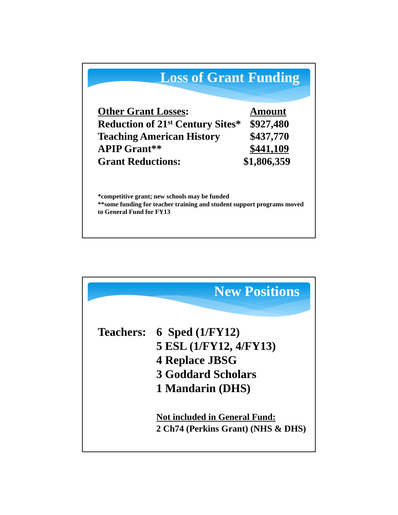

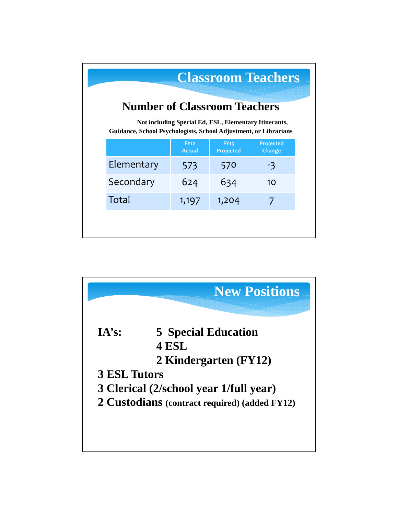| <b>Classroom Teachers</b><br><b>Number of Classroom Teachers</b><br>Not including Special Ed, ESL, Elementary Itinerants,<br>Guidance, School Psychologists, School Adjustment, or Librarians |                              |                                 |                            |  |
|-----------------------------------------------------------------------------------------------------------------------------------------------------------------------------------------------|------------------------------|---------------------------------|----------------------------|--|
|                                                                                                                                                                                               | <b>FY12</b><br><b>Actual</b> | <b>FY13</b><br><b>Projected</b> | <b>Projected</b><br>Change |  |
| Elementary                                                                                                                                                                                    | 573                          | 570                             | -3                         |  |
| Secondary                                                                                                                                                                                     | 624                          | 634                             | 10                         |  |
| Total                                                                                                                                                                                         | 1,197                        | 1,204                           |                            |  |

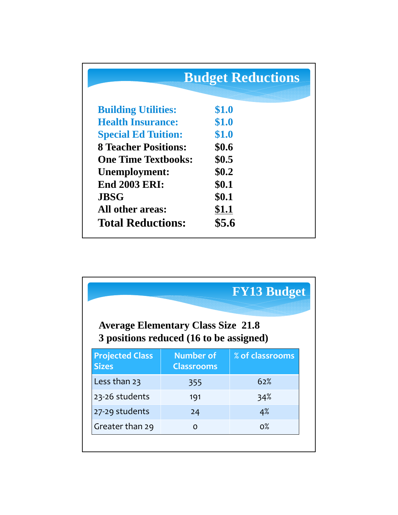|                             | <b>Budget Reductions</b> |  |
|-----------------------------|--------------------------|--|
| <b>Building Utilities:</b>  | \$1.0                    |  |
| <b>Health Insurance:</b>    | \$1.0                    |  |
| <b>Special Ed Tuition:</b>  | \$1.0                    |  |
| <b>8 Teacher Positions:</b> | \$0.6                    |  |
| <b>One Time Textbooks:</b>  | \$0.5                    |  |
| Unemployment:               | \$0.2\$                  |  |
| <b>End 2003 ERI:</b>        | \$0.1                    |  |
| <b>JBSG</b>                 | \$0.1                    |  |
| All other areas:            | \$1.1                    |  |
| <b>Total Reductions:</b>    | \$5.6                    |  |

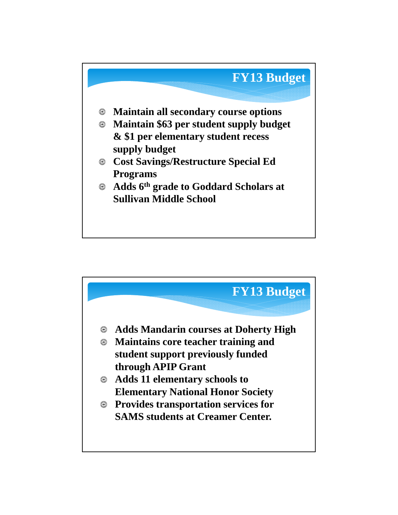

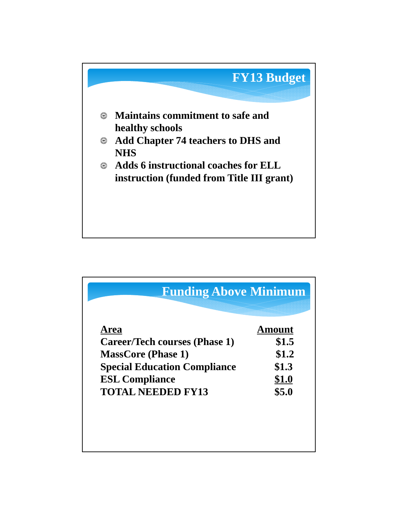

| Area                                 | Amount |
|--------------------------------------|--------|
| <b>Career/Tech courses (Phase 1)</b> | \$1.5  |
| <b>MassCore (Phase 1)</b>            | \$1.2  |
| <b>Special Education Compliance</b>  | \$1.3  |
| <b>ESL Compliance</b>                | \$1.0  |
| <b>TOTAL NEEDED FY13</b>             | \$5.0  |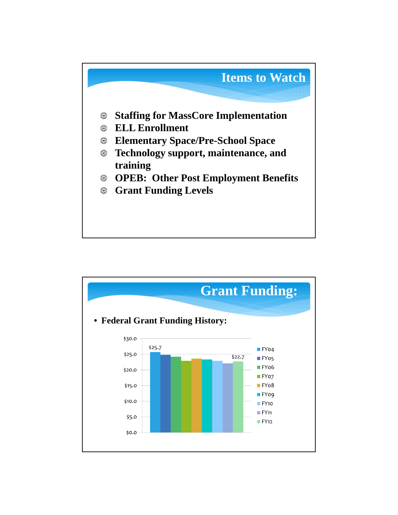

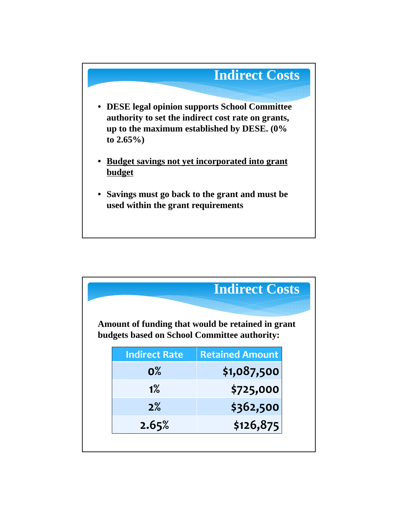

|                                                                                                          |                      | <b>Indirect Costs</b>  |  |  |
|----------------------------------------------------------------------------------------------------------|----------------------|------------------------|--|--|
| Amount of funding that would be retained in grant<br><b>budgets based on School Committee authority:</b> |                      |                        |  |  |
|                                                                                                          | <b>Indirect Rate</b> | <b>Retained Amount</b> |  |  |
|                                                                                                          | $0\%$                | \$1,087,500            |  |  |
|                                                                                                          | 1%                   | \$725,000              |  |  |
|                                                                                                          | 2%                   | \$362,500              |  |  |
|                                                                                                          | 2.65%                | \$126,875              |  |  |
|                                                                                                          |                      |                        |  |  |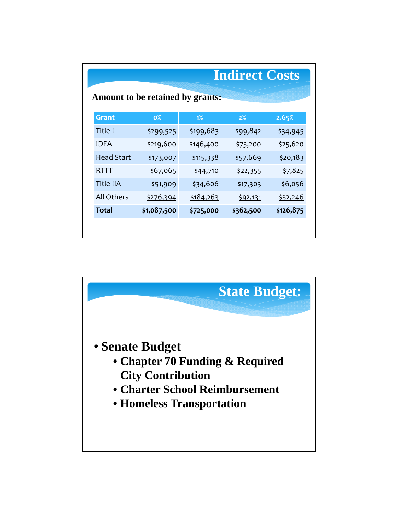|                                  |           | <b>Indirect Costs</b> |                 |  |  |
|----------------------------------|-----------|-----------------------|-----------------|--|--|
| Amount to be retained by grants: |           |                       |                 |  |  |
| $0\%$                            | $1\%$     | 2%                    | 2.65%           |  |  |
| \$299,525                        | \$199,683 | \$99,842              | \$34,945        |  |  |
| \$219,600                        | \$146,400 | \$73,200              | \$25,620        |  |  |
| \$173,007                        | \$115,338 | \$57,669              | \$20,183        |  |  |
| \$67,065                         | \$44,710  | \$22,355              | \$7,825         |  |  |
| \$51,909                         | \$34,606  | \$17,303              | \$6,056         |  |  |
| \$276,394                        | \$184,263 | \$92,131              | <u>\$32,246</u> |  |  |
| \$1,087,500                      | \$725,000 | \$362,500             | \$126,875       |  |  |
|                                  |           |                       |                 |  |  |